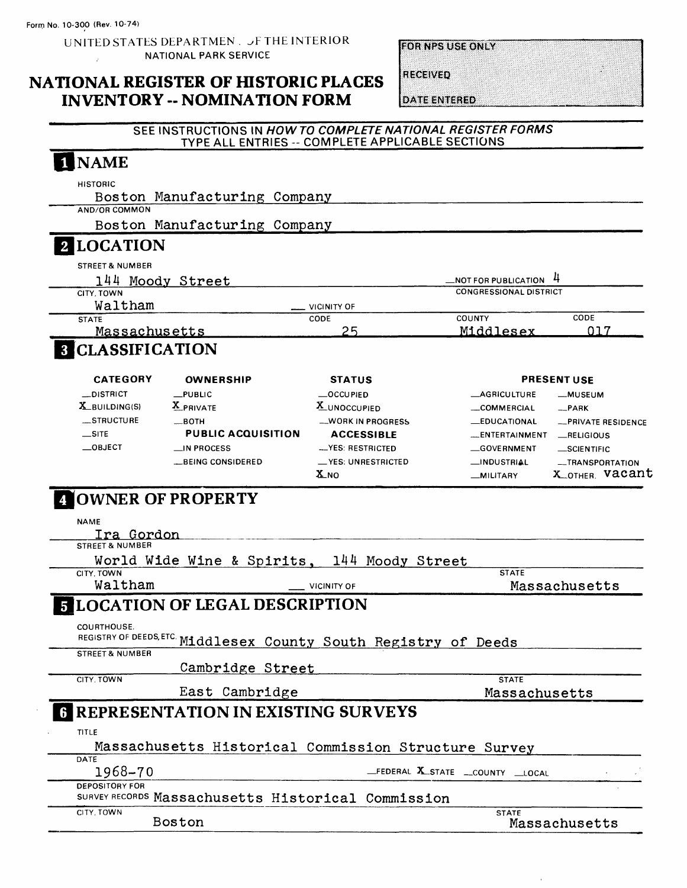UNITED STATES DEPARTMEN . JF THE INTERIOR NATIONAL PARK SERVICE  $\mathcal{X}^{(1)}$  and

**INVENTORY -- NOMINATION FORM** 

**FOR NPS USE ONLY** 

# NATIONAL REGISTER OF HISTORIC PLACES

**RECEIVED** 

**DATE ENTERED** 

 $\bar{1}$ 

# SEE INSTRUCTIONS IN HOW TO COMPLETE NATIONAL REGISTER FORMS TYPE ALL ENTRIES -- COMPLETE APPLICABLE SECTIONS

| <b>HISTORIC</b><br>Boston Manufacturing Company                                                              |                                                    |                                   |                                   |
|--------------------------------------------------------------------------------------------------------------|----------------------------------------------------|-----------------------------------|-----------------------------------|
| AND/OR COMMON                                                                                                |                                                    |                                   |                                   |
| Boston Manufacturing Company                                                                                 |                                                    |                                   |                                   |
| <b>LOCATION</b>                                                                                              |                                                    |                                   |                                   |
| <b>STREET &amp; NUMBER</b>                                                                                   |                                                    |                                   |                                   |
| 144 Moody Street                                                                                             |                                                    | <b>NOT FOR PUBLICATION</b>        | 4                                 |
| CITY. TOWN                                                                                                   |                                                    | <b>CONGRESSIONAL DISTRICT</b>     |                                   |
| Waltham<br><b>STATE</b>                                                                                      | <b>VICINITY OF</b><br>CODE                         | <b>COUNTY</b>                     | CODE                              |
| <b>Massachusetts</b>                                                                                         | 25                                                 | Middlesex                         | ุกา 7                             |
| <b>8 CLASSIFICATION</b>                                                                                      |                                                    |                                   |                                   |
| <b>CATEGORY</b><br><b>OWNERSHIP</b>                                                                          | STATUS                                             |                                   | <b>PRESENT USE</b>                |
| $_{\text{PUBLIC}}$<br>__DISTRICT                                                                             | OCCUPIED                                           | <b>LAGRICULTURE</b>               | -MUSEUM                           |
| $X_B$ UILDING(S)<br>X PRIVATE                                                                                | X_UNOCCUPIED                                       | COMMERCIAL                        | $R$ PARK                          |
| __STRUCTURE<br>$\equiv$ BOTH                                                                                 | <b>__WORK IN PROGRESS</b>                          | <b>LEDUCATIONAL</b>               | -PRIVATE RESIDENCE                |
| $\equiv$ SITE<br><b>PUBLIC ACQUISITION</b>                                                                   | <b>ACCESSIBLE</b>                                  | _ENTERTAINMENT                    | RELIGIOUS                         |
| $\_\$ {OBJECT}<br>$\equiv$ IN PROCESS                                                                        | -YES: RESTRICTED                                   | GOVERNMENT                        | _SCIENTIFIC                       |
| __BEING CONSIDERED                                                                                           | _YES: UNRESTRICTED<br>$\boldsymbol{\mathrm{X}}$ NO | _INDUSTRIAL<br>__MILITARY         | -TRANSPORTATION<br>X OTHER Vacant |
| Ira Gordon<br><b>STREET &amp; NUMBER</b><br>World Wide Wine & Spirits, 144 Moody Street<br>CITY, TOWN        |                                                    | <b>STATE</b>                      |                                   |
| Waltham<br><b>FLOCATION OF LEGAL DESCRIPTION</b>                                                             | <b>VICINITY OF</b>                                 |                                   | Massachusetts                     |
| COURTHOUSE.<br>REGISTRY OF DEEDS, ETC Middlesex County South Registry of Deeds<br><b>STREET &amp; NUMBER</b> |                                                    |                                   |                                   |
| Cambridge Street                                                                                             |                                                    |                                   |                                   |
| CITY. TOWN                                                                                                   |                                                    | <b>STATE</b>                      |                                   |
| East Cambridge                                                                                               |                                                    | Massachusetts                     |                                   |
| TITLE<br>Massachusetts Historical Commission Structure Survey                                                |                                                    |                                   |                                   |
| <b>REPRESENTATION IN EXISTING SURVEYS</b><br>DATE<br>1968-70                                                 |                                                    | _FEDERAL X_STATE __COUNTY __LOCAL |                                   |
| <b>DEPOSITORY FOR</b><br>SURVEY RECORDS Massachusetts Historical Commission                                  |                                                    |                                   |                                   |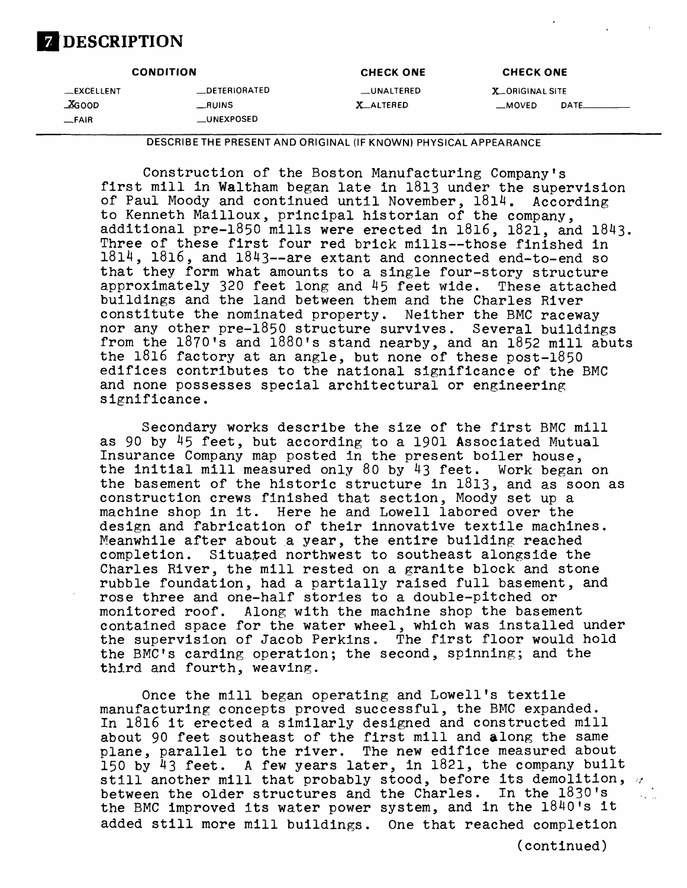# **DESCRIPTION**

| <b>CONDITION</b>                   |                                                       | <b>CHECK ONE</b>                | <b>CHECK ONE</b>                         |       |
|------------------------------------|-------------------------------------------------------|---------------------------------|------------------------------------------|-------|
| __EXCELLENT<br>$X$ GOOD<br>$-FAIR$ | <b>__DETERIORATED</b><br>__RUINS<br><b>LUNEXPOSED</b> | __UNALTERED<br><b>X_ALTERED</b> | <b>X_ORIGINAL SITE</b><br>$\equiv$ MOVED | DATE. |

DESCRIBETHE PRESENT AND ORIGINAL (IF KNOWN) PHYSICAL APPEARANCE

Construction of the Boston Manufacturing Company's first mill in Waltham began late in 1813 under the supervision of Paul Moody and continued until November, 1814. According to Kenneth Mailloux, principal historian of the company, additional pre-1850 mills were erected in 1816, 1821, and 1843. Three of these first four red brick mills--those finished in  $1814$ ,  $1816$ , and  $1843$ --are extant and connected end-to-end so that they form what amounts to a single four-story structure approximately 320 feet long and 45 feet wide. These attached buildings and the land between them and the Charles River constitute the nominated property. Neither the BMC raceway nor any other pre-1850 structure survives. Several buildings from the l870's and l880's stand nearby, and an 1852 mill abuts the 1816 factory at an angle, but none of these post-1850 edifices contributes to the national significance of the BMC and none possesses special architectural or engineering significance.

Secondary works describe the size of the first BMC mill as 90 by 45 feet, but according to a 1901 Associated Mutual Insurance Company map posted in the present boiler house, the initial mill measured only 80 by 43 feet. Work began on the basement of the historic structure in 1813, and as soon as construction crews finished that section, Moody set up a machine shop in it. Here he and Lowell labored over the design and fabrication of their innovative textile machines. Meanwhile after about a year, the entire building reached completion. Situated northwest to southeast alongside the Charles River, the mill rested on a granite block and stone rubble foundation, had a partially raised full basement, and rose three and one-half stories to a double-pitched or monitored roof. Along with the machine shop the basement contained space for the water wheel, which was installed under the supervision of Jacob Perkins. The first floor would hold the BMC's carding operation; the second, spinning; and the third and fourth, weaving.

Once the mill began operating and Lowell's textile manufacturing concepts proved successful, the BMC expanded. In 1816 it erected a similarly designed and constructed mill about 90 feet southeast of the first mill and along the same plane, parallel to the river. The new edifice measured about 150 by 43 feet. A few years later, in 1821, the company built still another mill that probably stood, before its demolition,  $\nu$ between the older structures and the Charles. In the 1830's the BMC improved its water power system, and in the l840's it added still more mill buildings. One that reached completion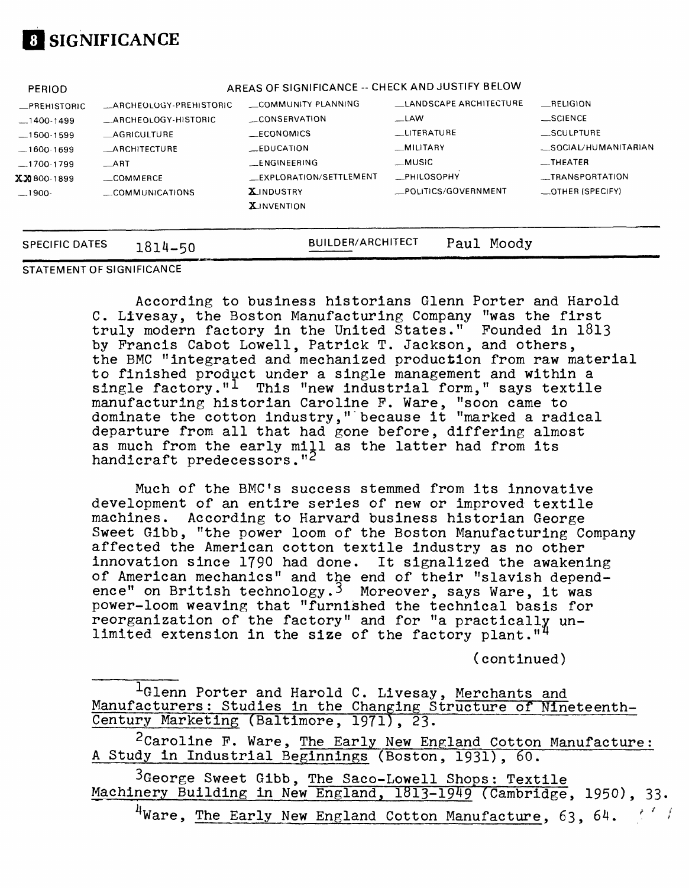

| <b>PERIOD</b>         |                               | AREAS OF SIGNIFICANCE -- CHECK AND JUSTIFY BELOW |                        |                      |  |  |  |  |
|-----------------------|-------------------------------|--------------------------------------------------|------------------------|----------------------|--|--|--|--|
| _PREHISTORIC          | <b>ARCHEOLOGY-PREHISTORIC</b> | COMMUNITY PLANNING                               | LANDSCAPE ARCHITECTURE | RELIGION             |  |  |  |  |
| $-1400-1499$          | ARCHEOLOGY-HISTORIC           | CONSERVATION                                     | $-LAW$                 | $\_$ SCIENCE         |  |  |  |  |
| $-1500-1599$          | <b>AGRICULTURE</b>            | $\_ECONOMICS$                                    | <b>LUTERATURE</b>      | __SCULPTURE          |  |  |  |  |
| $-1600-1699$          | <b>ARCHITECTURE</b>           | $E$ DUCATION                                     | <b>MILITARY</b>        | _SOCIAL/HUMANITARIAN |  |  |  |  |
| $-1700-1799$          | ART                           | <b>LENGINEERING</b>                              | _MUSIC                 | $-$ THEATER          |  |  |  |  |
| $X X 800 - 1899$      | COMMERCE                      | _EXPLORATION/SETTLEMENT                          | <b>_PHILOSOPHY</b>     | __TRANSPORTATION     |  |  |  |  |
| $-1900-$              | _COMMUNICATIONS               | <b>X</b> INDUSTRY                                | POLITICS/GOVERNMENT    | _OTHER (SPECIFY)     |  |  |  |  |
|                       |                               | <b>X</b> JNVENTION                               |                        |                      |  |  |  |  |
|                       |                               |                                                  |                        |                      |  |  |  |  |
| <b>SPECIFIC DATES</b> | 1814-50                       | <b>BUILDER/ARCHITECT</b>                         | Moody<br>Paul          |                      |  |  |  |  |

**STATEMENT OF SIGNIFICANCE**

According to business historians Glenn Porter and Harold C. Llvesay, the Boston Manufacturing Company "was the first truly modern factory in the United States." Pounded in 1813 by Francis Cabot Lowell, Patrick T. Jackson, and others, the BMC "integrated and mechanized production from raw material to finished product under a single management and within a single factory." $1$  This "new industrial form," says textile manufacturing historian Caroline P. Ware, "soon came to dominate the cotton industry," because it "marked a radical departure from all that had gone before, differing almost as much from the early mill as the latter had from its handicraft predecessors."<sup>2</sup>

Much of the BMC's success stemmed from its innovative development of an entire series of new or improved textile machines. According to Harvard business historian George Sweet Gibb, "the power loom of the Boston Manufacturing Company affected the American cotton textile industry as no other innovation since 1790 had done. It signalized the awakening of American mechanics" and the end of their "slavish dependence" on British technology.3 Moreover, says Ware, it was power-loom weaving that "furnished the technical basis for reorganization of the factory" and for "a practically unlimited extension in the size of the factory plant."<sup>4</sup>

(continued)

|                                          |  |  |  |  | <sup>1</sup> Glenn Porter and Harold C. Livesay, Merchants and |                                                                 |
|------------------------------------------|--|--|--|--|----------------------------------------------------------------|-----------------------------------------------------------------|
|                                          |  |  |  |  |                                                                | Manufacturers: Studies in the Changing Structure of Nineteenth- |
| Century Marketing (Baltimore, 1971), 23. |  |  |  |  |                                                                |                                                                 |

2 Caroline P. Ware, The Early New England Cotton Manufacture: A Study in Industrial Beginnings (Boston, 1931) , 60.

 $3G$ eorge Sweet Gibb, The Saco-Lowell Shops: Textile Machinery Building in New England, 1813-1949 (Cambridge, 1950), 33.

 $^{4}$ Ware, The Early New England Cotton Manufacture, 63, 64.  $\frac{1}{2}$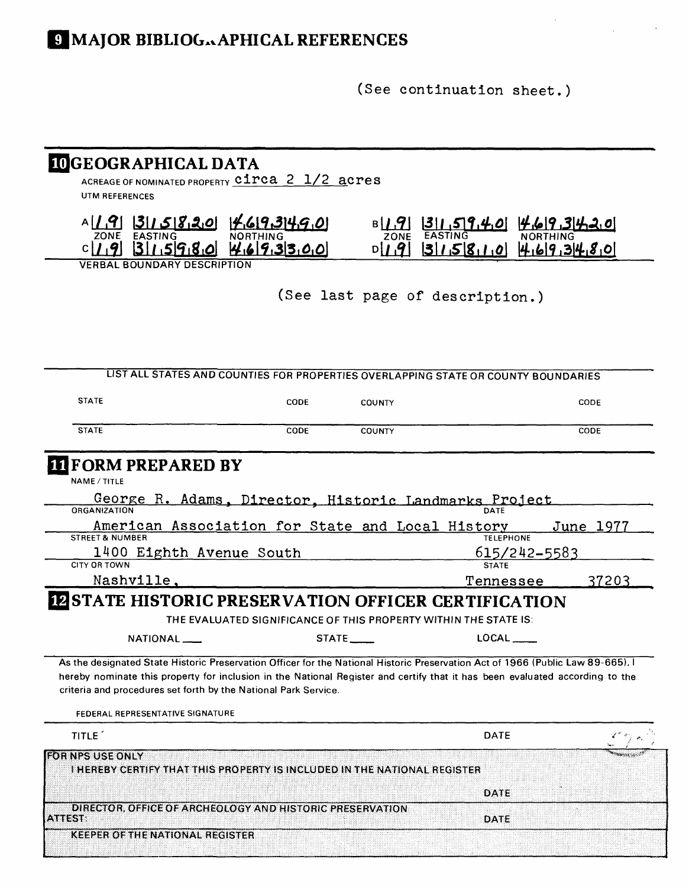(See continuation sheet.)

| ACREAGE OF NOMINATED PROPERTY CIPCA 2 1/2 acres                                                                                                                                                                                                                                                                                    | <b>IDGEOGRAPHICAL DATA</b>                                       |                                 |                           |                           |
|------------------------------------------------------------------------------------------------------------------------------------------------------------------------------------------------------------------------------------------------------------------------------------------------------------------------------------|------------------------------------------------------------------|---------------------------------|---------------------------|---------------------------|
| UTM REFERENCES                                                                                                                                                                                                                                                                                                                     |                                                                  |                                 |                           |                           |
| $A[\mathcal{L}[9]   3  \mathcal{L}[5  8, 2, 0]$<br>EASTING<br><b>ZONE</b>                                                                                                                                                                                                                                                          | <u>4693490</u>                                                   | вI <i>I.</i> 91<br>ZONE         |                           |                           |
| <b>1591801</b><br><b>BOUNDARY DESCRIPTION</b>                                                                                                                                                                                                                                                                                      | 9.33000                                                          | D I.9                           |                           | $ 3 1.5 8.1.0$ 4.69.34.80 |
|                                                                                                                                                                                                                                                                                                                                    |                                                                  |                                 |                           |                           |
|                                                                                                                                                                                                                                                                                                                                    |                                                                  | (See last page of description.) |                           |                           |
|                                                                                                                                                                                                                                                                                                                                    |                                                                  |                                 |                           |                           |
| LIST ALL STATES AND COUNTIES FOR PROPERTIES OVERLAPPING STATE OR COUNTY BOUNDARIES                                                                                                                                                                                                                                                 |                                                                  |                                 |                           |                           |
| <b>STATE</b>                                                                                                                                                                                                                                                                                                                       | CODE                                                             | COUNTY                          |                           | CODE                      |
| <b>STATE</b>                                                                                                                                                                                                                                                                                                                       | CODE                                                             | <b>COUNTY</b>                   |                           | CODE                      |
| <b>ORGANIZATION</b><br>American Association for State and Local History<br><b>STREET &amp; NUMBER</b><br>1400 Eighth Avenue South                                                                                                                                                                                                  |                                                                  |                                 | <b>TELEPHONE</b>          | June 1977<br>615/242-5583 |
| <b>CITY OR TOWN</b><br>Nashville,                                                                                                                                                                                                                                                                                                  |                                                                  |                                 | <b>STATE</b><br>Tennessee | 37203                     |
| <b>INSTATE HISTORIC PRESERVATION OFFICER CERTIFICATION</b>                                                                                                                                                                                                                                                                         | THE EVALUATED SIGNIFICANCE OF THIS PROPERTY WITHIN THE STATE IS: |                                 |                           |                           |
|                                                                                                                                                                                                                                                                                                                                    |                                                                  |                                 |                           |                           |
| NATIONAL ____                                                                                                                                                                                                                                                                                                                      | STATE _____                                                      |                                 | LOCAL                     |                           |
| As the designated State Historic Preservation Officer for the National Historic Preservation Act of 1966 (Public Law 89-665), I<br>hereby nominate this property for inclusion in the National Register and certify that it has been evaluated according to the<br>criteria and procedures set forth by the National Park Service. |                                                                  |                                 |                           |                           |
| FEDERAL REPRESENTATIVE SIGNATURE                                                                                                                                                                                                                                                                                                   |                                                                  |                                 |                           |                           |
| TITLE <sup>1</sup>                                                                                                                                                                                                                                                                                                                 |                                                                  |                                 | <b>DATE</b>               |                           |
| FOR NPS USE ONLY<br>I HEREBY CERTIFY THAT THIS PROPERTY IS INCLUDED IN THE NATIONAL REGISTER                                                                                                                                                                                                                                       |                                                                  |                                 |                           |                           |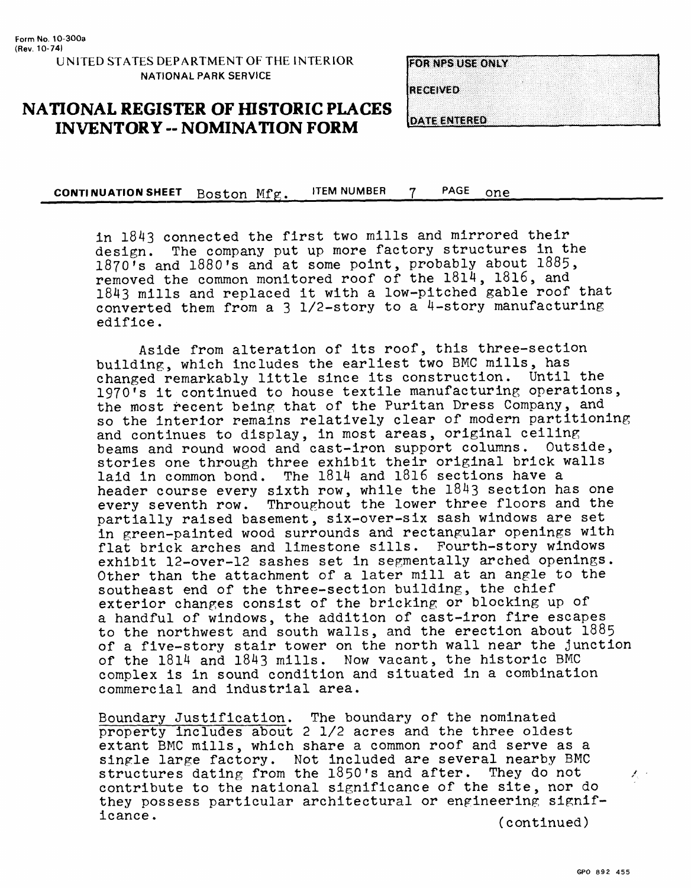#### **UNITED STATES DEPARTMENT OF THE INTERIOR NATIONAL PARK SERVICE**

#### **FOR NPS USE ONLY**

**RECEIVED** 

### **NATIONAL REGISTER OF HISTORIC PLACES INVENTORY -- NOMINATION FORM**

**DATE ENTERED** 

**CONTINUATION SHEET** Boston Mfg. ITEM NUMBER 7 PAGE one\_\_\_\_\_\_\_\_\_\_\_\_\_\_\_\_\_

in 1843 connected the first two mills and mirrored their design. The company put up more factory structures in the 1870's and 1880's and at some point, probably about 1885, removed the common monitored roof of the 1814, 1816, and 1843 mills and replaced it with a low-pitched gable roof that converted them from a  $3\frac{1}{2}$ -story to a 4-story manufacturing edifice.

Aside from alteration of its roof, this three-section building, which includes the earliest two BMC mills, has changed remarkably little since its construction. Until the 1970's it continued to house textile manufacturing operations, the most recent being that of the Puritan Dress Company, and so the interior remains relatively clear of modern partitioning and continues to display, in most areas, original ceiling beams and round wood and cast-iron support columns. Outside, stories one through three exhibit their original brick walls laid in common bond. The 1814 and 1816 sections have a header course every sixth row, while the 1843 section has one every seventh row. Throughout the lower three floors and the partially raised basement, six-over-six sash windows are set in green-painted wood surrounds and rectangular openings with flat brick arches and limestone sills. Fourth-story windows exhibit 12-over-12 sashes set in segmentally arched openings. Other than the attachment of a later mill at an angle to the southeast end of the three-section building, the chief exterior changes consist of the bricking or blocking up of a handful of windows, the addition of cast-iron fire escapes to the northwest and south walls, and the erection about 1885 of a five-story stair tower on the north wall near the junction of the 1814 and 1843 mills. Now vacant, the historic BMC complex is in sound condition and situated in a combination commercial and industrial area.

Boundary Justification. The boundary of the nominated property includes about 2 1/2 acres and the three oldest extant BMC mills, which share a common roof and serve as a single large factory. Not included are several nearby BMC structures dating from the  $1850$ 's and after. They do not contribute to the national significance of the site, nor do they possess particular architectural or engineering signiflcance. (continued)

 $\mathbb{X}_n$  :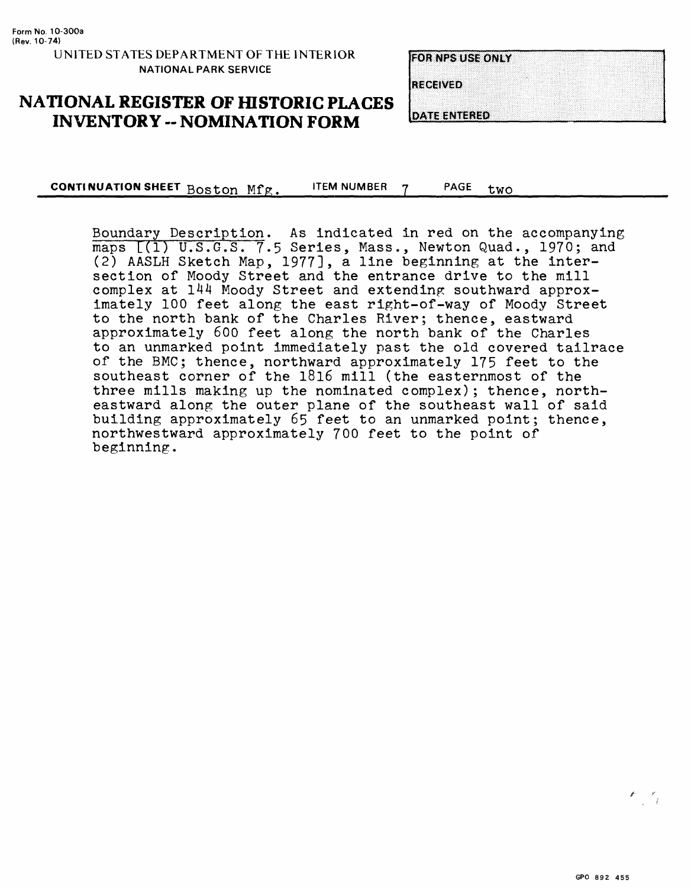**FOR NPS USE ONLY RECEIVED DATE ENTERED** 

### **NATIONAL REGISTER OF HISTORIC PLACES INVENTORY - NOMINATION FORM**

**CONTINUATION SHEET** Boston Mfg. ITEM NUMBER PAGE two

Boundary Description. As indicated in red on the accompanying maps  $[(1)$  U.S.G.S. 7.5 Series, Mass., Newton Quad., 1970; and (2) AASLH Sketch Map, 1977], a line beginning at the intersection of Moody Street and the entrance drive to the mill complex at 144 Moody Street and extending southward approximately 100 feet along the east right-of-way of Moody Street to the north bank of the Charles River; thence, eastward approximately 600 feet along the north bank of the Charles to an unmarked point immediately past the old covered tailrace of the BMC; thence, northward approximately 175 feet to the southeast corner of the l8l6 mill (the easternmost of the three mills making up the nominated complex); thence, northeastward along the outer plane of the southeast wall of said building approximately 65 feet to an unmarked point; thence, northwestward approximately 700 feet to the point of beginning.

 $\begin{picture}(20,20) \put(0,0){\line(1,0){10}} \put(15,0){\line(1,0){10}} \put(15,0){\line(1,0){10}} \put(15,0){\line(1,0){10}} \put(15,0){\line(1,0){10}} \put(15,0){\line(1,0){10}} \put(15,0){\line(1,0){10}} \put(15,0){\line(1,0){10}} \put(15,0){\line(1,0){10}} \put(15,0){\line(1,0){10}} \put(15,0){\line(1,0){10}} \put(15,0){\line(1$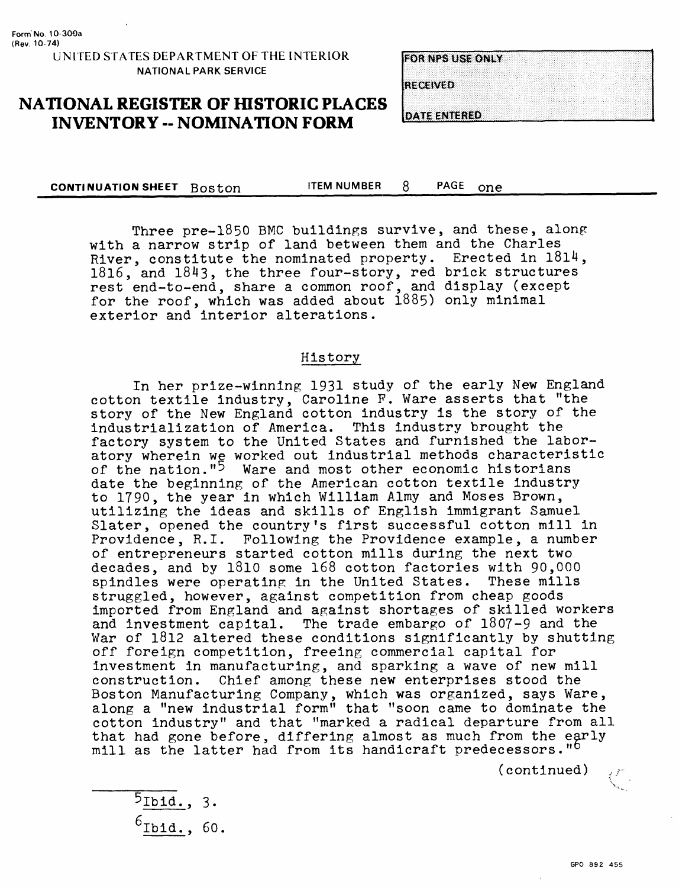**FOR NES LISE ONLY** 

**RECEIVED** 

**DATE ENTERED** 

**NATIONAL REGISTER OF HISTORIC PLACES INVENTORY -- NOMINATION FORM** 

**CONTINUATION SHEET** Boston ITEM NUMBER 8 PAGE one

Three pre-l850 BMC buildings survive, and these, along with a narrow strip of land between them and the Charles River, constitute the nominated property. Erected in 1814, 1816, and 1843, the three four-story, red brick structures rest end-to-end, share a common roof, and display (except for the roof, which was added about 1885) only minimal exterior and interior alterations.

#### History

In her prize-winning 1931 study of the early New England cotton textile industry, Caroline F. Ware asserts that "the story of the New England cotton industry is the story of the industrialization of America. This industry brought the factory system to the United States and furnished the laboratory wherein we worked out industrial methods characteristic of the nation."<sup>5</sup> Ware and most other economic historians date the beginning of the American cotton textile industry to 1790, the year in which William Almy and Moses Brown, utilizing the ideas and skills of English immigrant Samuel Slater, opened the country's first successful cotton mill in Providence, R.I. Following the Providence example, a number of entrepreneurs started cotton mills during the next two decades, and by 1810 some 168 cotton factories with 90,000 spindles were operating in the United States. These mills spindles were operating in the United States. struggled, however, against competition from cheap goods imported from England and against shortages of skilled workers and investment capital. The trade embargo of 1807-9 and the War of 1812 altered these conditions significantly by shutting off foreign competition, freeing commercial capital for investment in manufacturing, and sparking a wave of new mill construction. Chief among these new enterprises stood the Boston Manufacturing Company, which was organized, says Ware, along a "new industrial form" that "soon came to dominate the cotton industry" and that "marked a radical departure from all that had gone before, differing almost as much from the early mill as the latter had from its handicraft predecessors."<sup>b</sup>

- $5$ Ibid., 3.
- $6$ Ibid., 60.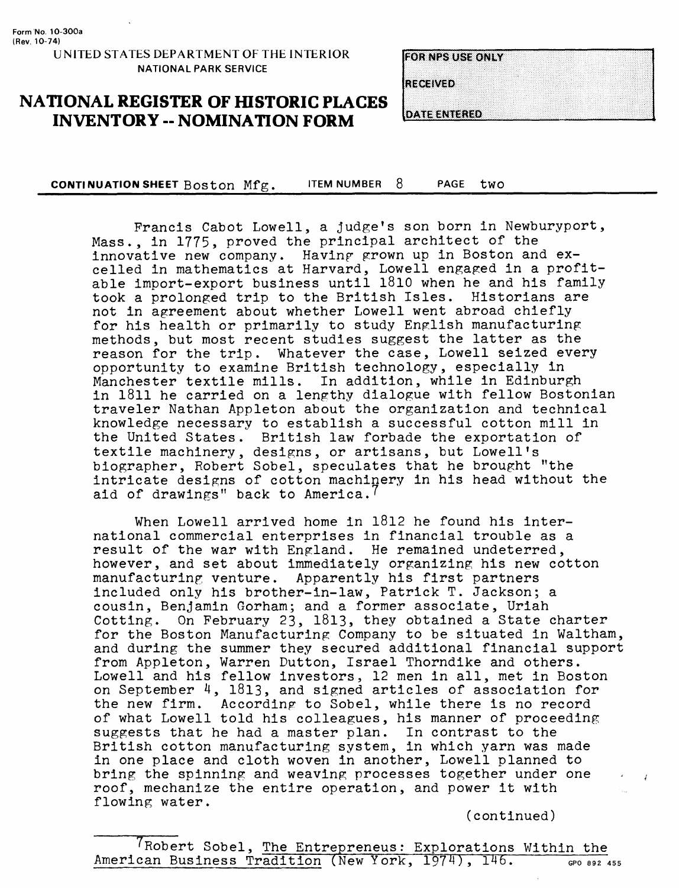**Form No. 10-300a (Rev. 10-74)**

#### **UNITED STATES DEPARTMENT OF THE INTERIOR NATIONAL PARK SERVICE**

## **NATIONAL REGISTER OF HISTORIC PLACES INVENTORY -- NOMINATION FORM**

| <b>FOR NPS USE ONLY</b> |  |  |
|-------------------------|--|--|
|                         |  |  |
|                         |  |  |
|                         |  |  |
|                         |  |  |
| <b>RECEIVED</b>         |  |  |
|                         |  |  |
|                         |  |  |
|                         |  |  |

**DATE ENTERED** 

**CONTINUATION SHEET BOStOn** Mfg. ITEM NUMBER 8 PAGE tWO\_\_\_\_\_\_\_\_\_\_\_\_\_\_\_\_\_

Francis Cabot Lowell, a judge's son born in Newburyport, Mass., in 1775, proved the principal architect of the innovative new company. Having grown up in Boston and excelled in mathematics at Harvard, Lowell engaged in a profitable import-export business until 1810 when he and his family took a prolonged trip to the British Isles. Historians are not in agreement about whether Lowell went abroad chiefly for his health or primarily to study English manufacturing methods, but most recent studies suggest the latter as the reason for the trip. Whatever the case, Lowell seized every opportunity to examine British technology, especially in Manchester textile mills. In addition, while in Edinburgh in 1811 he carried on a lengthy dialogue with fellow Bostonian traveler Nathan Appleton about the organization and technical knowledge necessary to establish a successful cotton mill in the United States. British law forbade the exportation of textile machinery, designs, or artisans, but Lowell's biographer, Robert Sobel, speculates that he brought "the intricate designs of cotton machinery in his head without the aid of drawings" back to America.<sup>7</sup>

When Lowell arrived home in 1812 he found his international commercial enterprises in financial trouble as a result of the war with England. He remained undeterred, however, and set about immediately organizing his new cotton manufacturing venture. Apparently his first partners included only his brother-in-law, Patrick T. Jackson; a cousin, Benjamin Gorham; and a former associate, Uriah Cotting. On February 23, 1813, they obtained a State charter for the Boston Manufacturing Company to be situated in Waltham, and during the summer they secured additional financial support from Appleton, Warren Dutton, Israel Thorndike and others. Lowell and his fellow investors, 12 men in all, met in Boston on September 4, 1813, and signed articles of association for the new firm. According to Sobel, while there is no record of what Lowell told his colleagues, his manner of proceeding suggests that he had a master plan. In contrast to the British cotton manufacturing system, in which yarn was made in one place and cloth woven in another, Lowell planned to bring the spinning and weaving processes together under one roof, mechanize the entire operation, and power it with flowing water.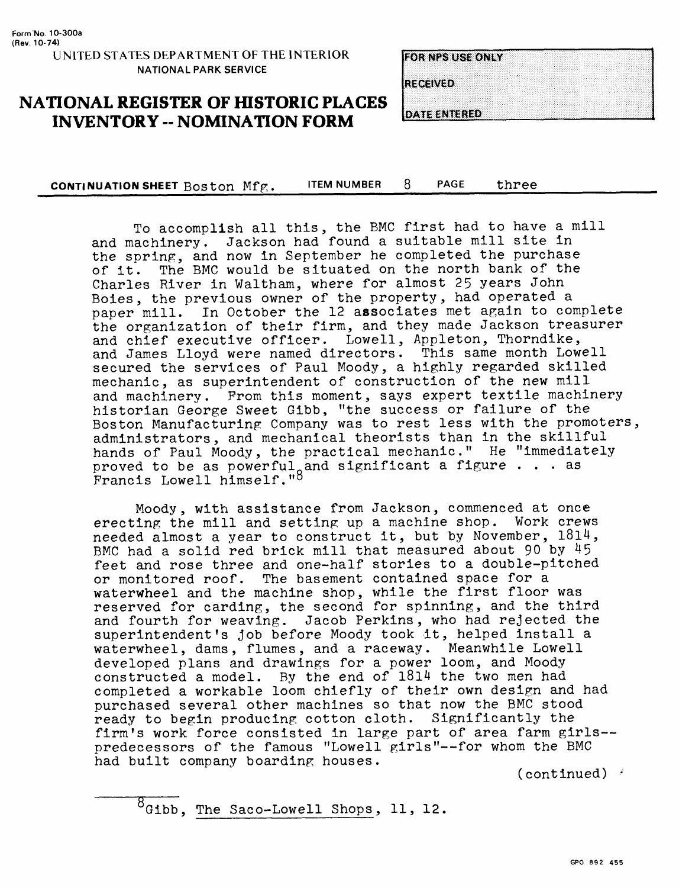**EQRIVES RISEONIA** 

RECEIVED

**DATE ENTERED** 

# **NATIONAL REGISTER OF HISTORIC PLACES INVENTORY - NOMINATION FORM**

**CONTINUATION SHEET** Boston Mfg. ITEM NUMBER 8 PAGE three

To accomplish all this, the BMC first had to have a mill and machinery. Jackson had found a suitable mill site in the spring, and now in September he completed the purchase of it. The BMC would be situated on the north bank of the Charles River in Waltham, where for almost 25 years John Boies, the previous owner of the property, had operated a paper mill. In October the 12 associates met again to complete the organization of their firm, and they made Jackson treasurer and chief executive officer. Lowell, Appleton, Thorndike, and James Lloyd were named directors. This same month Lowell secured the services of Paul Moody, a highly regarded skilled mechanic, as superintendent of construction of the new mill and machinery. From this moment, says expert textile machinery historian George Sweet Gibb, "the success or failure of the Boston Manufacturing Company was to rest less with the promoters, administrators, and mechanical theorists than in the skillful hands of Paul Moody, the practical mechanic." He "immediately proved to be as powerful<sub>o</sub> and significant a figure  $\ldots$  as Francis Lowell himself." $^{\circ}$ 

Moody, with assistance from Jackson, commenced at once erecting the mill and setting up a machine shop. Work crews needed almost a year to construct it, but by November, I8l4, BMC had a solid red brick mill that measured about 90 by  $45$ feet and rose three and one-half stories to a double-pitched or monitored roof. The basement contained space for a waterwheel and the machine shop, while the first floor was reserved for carding, the second for spinning, and the third and fourth for weaving. Jacob Perkins, who had rejected the superintendent's job before Moody took it, helped install a waterwheel, dams, flumes, and a raceway. Meanwhile Lowell developed plans and drawings for a power loom, and Moody constructed a model. By the end of 1814 the two men had completed a workable loom chiefly of their own design and had purchased several other machines so that now the BMC stood ready to begin producing cotton cloth. Significantly the firm's work force consisted in large part of area farm girls predecessors of the famous "Lowell girls"--for whom the BMC had built company boarding houses.

(continued)  $\ell$ 

 $\overline{\text{B}_{\text{G1bb}}}$ , The Saco-Lowell Shops, 11, 12.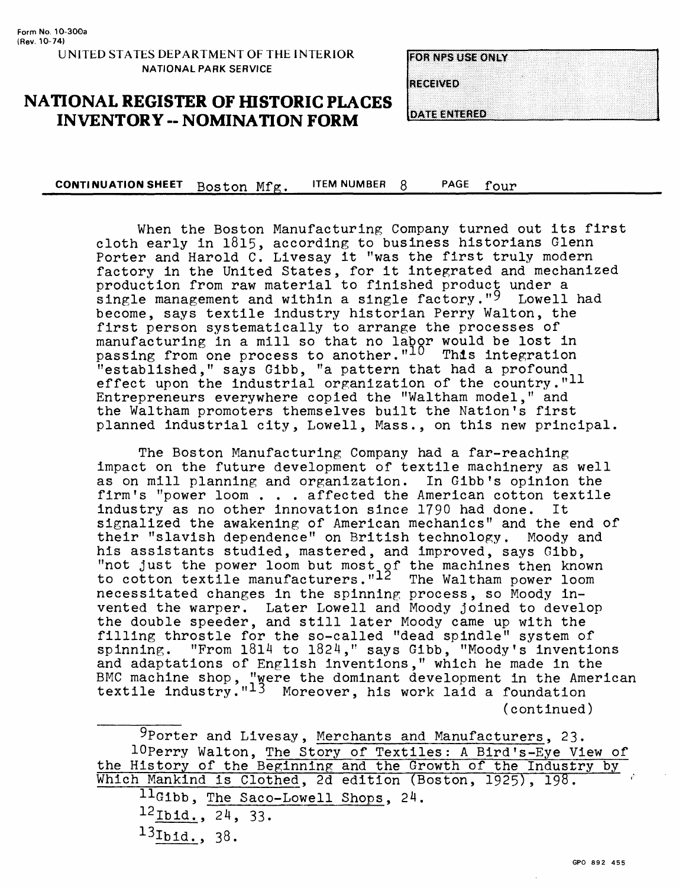**EOR NESTREE ONLY** 

**RECEIVED** 

**DATE ENTERED** 

**NATIONAL REGISTER OF HISTORIC PLACES INVENTORY -- NOMINATION FORM**

**CONTINUATION SHEET** Boston Mfg. ITEM NUMBER 8 PAGE four

When the Boston Manufacturing Company turned out its first cloth early in 1815, according to business historians Glenn Porter and Harold C. Livesay it "was the first truly modern factory in the United States, for it integrated and mechanized production from raw material to finished product under a single management and within a single factory."<sup>9</sup> Lowell had become, says textile industry historian Perry Walton, the first person systematically to arrange the processes of manufacturing in a mill so that no labor would be lost in passing from one process to another."10 This integration "established," says Gibb, "a pattern that had a profound effect upon the industrial organization of the country." $11$ Entrepreneurs everywhere copied the "Waltham model," and the Waltham promoters themselves built the Nation's first planned industrial city, Lowell, Mass., on this new principal.

The Boston Manufacturing Company had a far-reaching impact on the future development of textile machinery as well as on mill planning and organization. In Gibb's opinion the firm's "power loom . . . affected the American cotton textile industry as no other innovation since 1790 had done. It signalized the awakening of American mechanics" and the end of their "slavish dependence" on British technology. Moody and his assistants studied, mastered, and improved, says Gibb, "not just the power loom but most of the machines then known to cotton textile manufacturers."<sup>12</sup> The Waltham power loom necessitated changes in the spinning process, so Moody invented the warper. Later Lowell and Moody joined to develop the double speeder, and still later Moody came up with the filling throstle for the so-called "dead spindle" system of spinning. "From 1814 to 1824," says Gibb, "Moody's inventions and adaptations of English inventions," which he made in the BMC machine shop, "were the dominant development in the American textile industry."<sup>13</sup> Moreover, his work laid a foundation (continued)

**9Porter and Livesay, Merchants and Manufacturers, 23.** lOperry Walton, The Story of Textiles; A Bird's-Eye View of the History of the Beginning and the Growth of the Industry by Which Mankind is Clothed, 2d edition (Boston, 1925), 198.  $11$ Gibb, The Saco-Lowell Shops, 24.  $12$  Ibid.,  $24$ , 33.

- 
- 13Ib<sub>1d.</sub>, 38.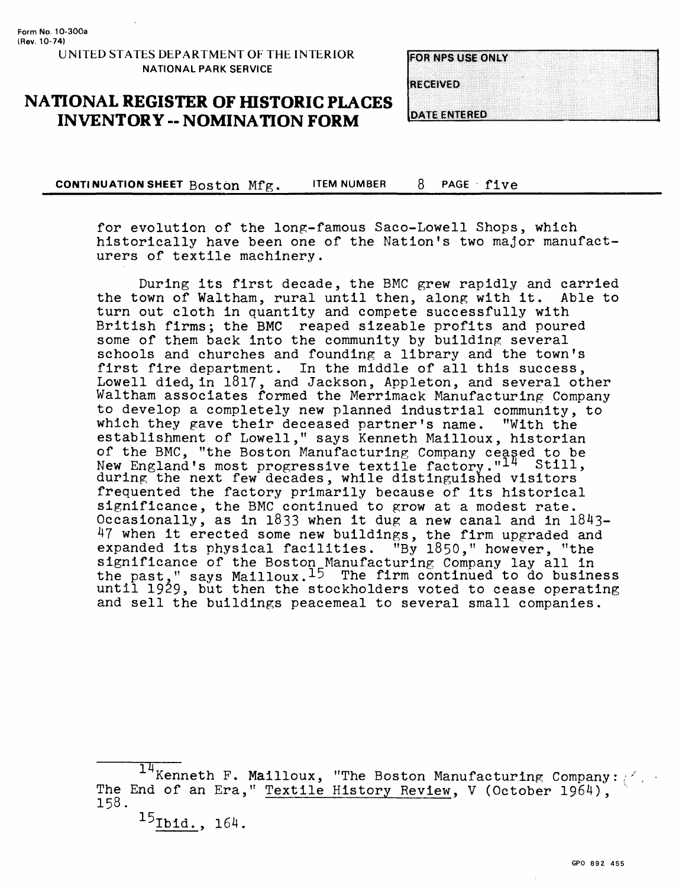### **NATIONAL REGISTER OF HISTORIC PLACES INVENTORY -- NOMINATION FORM**

|  |  |  |  |  |  |  | <b>FOR NPS USE ONLY</b> |  |  |  |  |  |  |  |  |  |  |  |  |  |  |  |
|--|--|--|--|--|--|--|-------------------------|--|--|--|--|--|--|--|--|--|--|--|--|--|--|--|
|  |  |  |  |  |  |  |                         |  |  |  |  |  |  |  |  |  |  |  |  |  |  |  |
|  |  |  |  |  |  |  |                         |  |  |  |  |  |  |  |  |  |  |  |  |  |  |  |
|  |  |  |  |  |  |  |                         |  |  |  |  |  |  |  |  |  |  |  |  |  |  |  |

**RECEIVED** 

**DATE ENTERED** 

**CONTINUATION SHEET** Boston Mfg. ITEM NUMBER 8 PAGE five

for evolution of the long-famous Saco-Lowell Shops, which historically have been one of the Nation's two major manufacturers of textile machinery.

During its first decade, the BMC grew rapidly and carried the town of Waltham, rural until then, along with it. Able to turn out cloth in quantity and compete successfully with British firms; the BMC reaped sizeable profits and poured some of them back into the community by building several schools and churches and founding a library and the town's first fire department. In the middle of all this success, Lowell died, in 1817, and Jackson, Appleton, and several other Waltham associates formed the Merrimack Manufacturing Company to develop a completely new planned industrial community, to which they gave their deceased partner's name. "With the establishment of Lowell," says Kenneth Mailloux, historian of the BMC, "the Boston Manufacturing Company ceased to be New England's most progressive textile factory."I<sup>I</sup> Still, during the next few decades, while distinguished visitors frequented the factory primarily because of its historical significance, the BMC continued to grow at a modest rate. Occasionally, as in 1833 when it dug a new canal and in 1843- 47 when it erected some new buildings, the firm upgraded and expanded its physical facilities. "By 1850," however, "the significance of the Boston Manufacturing Company lay all in the past," says Mailloux. $15$  The firm continued to do business until 1929, but then the stockholders voted to cease operating and sell the buildings peacemeal to several small companies.

 $\frac{14}{14}$ Kenneth F. Mailloux, "The Boston Manufacturing Company: The End of an Era," Textile History Review, V (October 1964), 158.

 $^{15}$  Ibid., 164.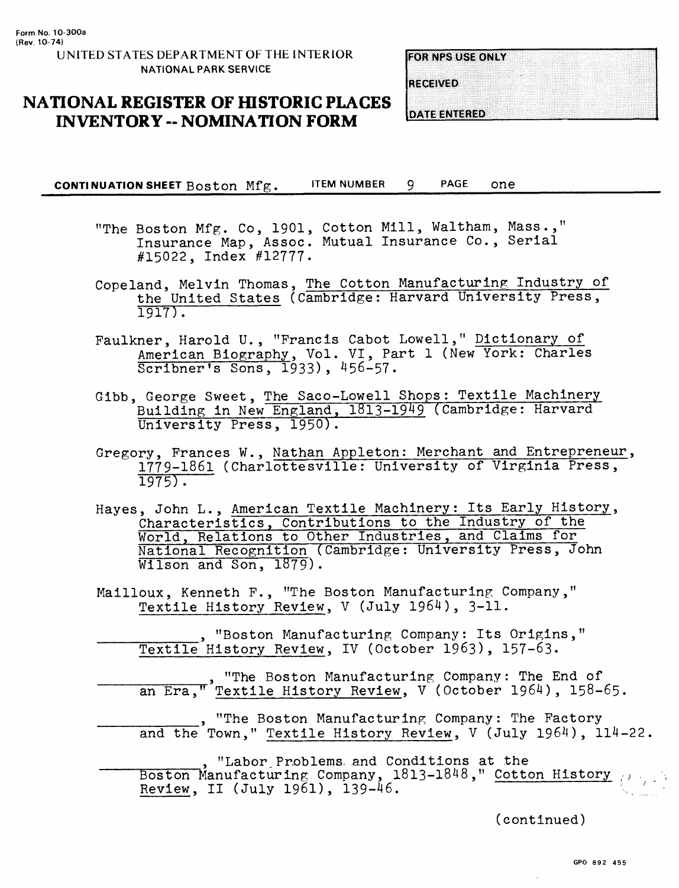**FOR NPS USE ONLY** 

**RECEIVED** 

# **NATIONAL REGISTER OF HISTORIC PLACES INVENTORY - NOMINATION FORM**

**DATE ENTERED** 

**CONTINUATION SHEET BOStOn** Mfg. ITEM NUMBER 9 PAGE one\_\_\_\_\_\_\_\_\_\_\_\_\_\_\_\_\_

- "The Boston Mfg. Co, 1901, Cotton Mill, Waltham, Mass.," Insurance Map, Assoc. Mutual Insurance Co., Serial #15022, Index #12777.
- Copeland, Melvin Thomas, The Cotton Manufacturing Industry of the United States (Cambridge: Harvard University Press, 1917).
- Faulkner, Harold U., "Francis Cabot Lowell," Dictionary of American Biography, Vol. VI, Part 1 (New York: Charles Scribner's Sons, 1933), 456-57.
- Gibb, George Sweet, The Saco-Lowell Shops: Textile Machinery Building in New England, 1813-1949 (Cambridge: Harvard University Press, 1950).
- Gregory, Frances W., Nathan Appleton: Merchant and Entrepreneur, 1779-1861 (Charlottesville: University of Virginia Press, 1975).
- Hayes, John L., American Textile Machinery: Its Early History, Characteristics, Contributions to the Industry of the World, Relations to Other Industries, and Claims for National Recognition (Cambridge: University Press, John Wilson and Son, 1879).
- Mailloux, Kenneth F., "The Boston Manufacturing Company," Textile History Review, V (July 1964), 3-11.

\_\_\_\_\_\_\_\_\_, "Boston Manufacturing Company: Its Origins," Textile History Review, IV (October 1963), 157-63.

\_\_\_\_\_\_\_\_\_"The Boston Manufacturing Company: The End of an Era,"<sup>'</sup>Textile History Review, V (October 1964), 158-65.

"The Boston Manufacturing Company: The Factory and the Town," Textile History Review, V (July 1964), 114-22.

*\_\_\_\_\_\_\_* , "Labor, Problems, and Conditions at the Boston Manufacturing Company,  $1813-1848$ ," Cotton History  $\overline{\phantom{a}}$ Review, II (July 1961), 139-46.  $\sim$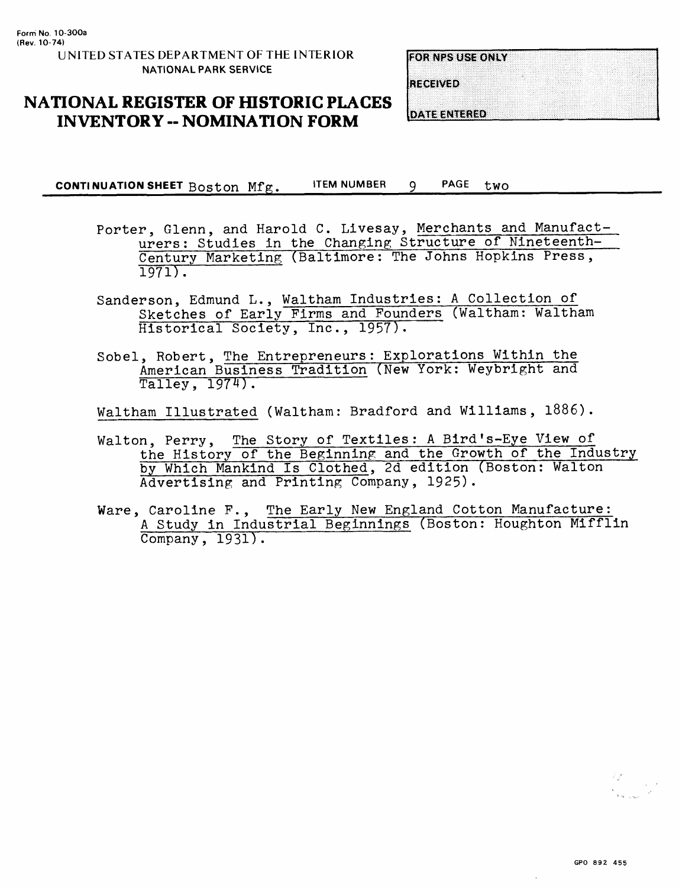**EOR NPS USE ONLY** 

**RECEIVED** 

# **NATIONAL REGISTER OF HISTORIC PLACES INVENTORY -- NOMINATION FORM**

**DATE ENTERED** 

**CONTI NU ATION SHEET** Boston Mfg. **ITEM NUMBER** PAGE tWO

- Porter, Glenn, and Harold C. Livesay, Merchants and Manufacturers: Studies in the Changing Structure of Nineteenth-Century Marketing (Baltimore: The Johns Hopkins Press, 1971).
- Sanderson, Edmund L., Waltham Industries: A Collection of Sketches of Early Firms and Founders (Waltham: Waltham Historical Society, Inc., 1957).
- Sobel, Robert, The Entrepreneurs: Explorations Within the American Business Tradition (New York: Weybright and Talley, 1974).

Waltham Illustrated (Waltham: Bradford and Williams, 1886).

- Walton, Perry, The Story of Textiles: A Bird's-Eye View of the History of the Beginning and the Growth of the Industry by Which Mankind Is Clothed, 2d edition (Boston: Walton Advertising and Printing Company, 1925).
- Ware, Caroline F., The Early New England Cotton Manufacture: A Study in Industrial Beginnings (Boston: Houghton Mifflin Company, 1931).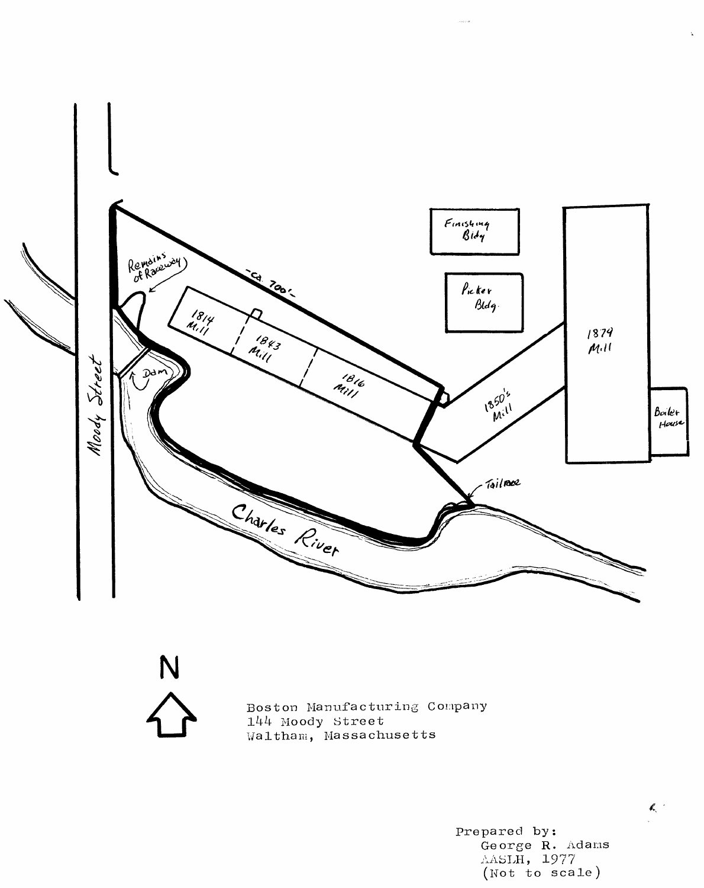

N

Boston Manufacturing Company 144 Moody Street Waltham, Massachusetts

> Prepared by: George R. Adams AASLH, 1977 (Not to scale)

### $\mathbb{Z}^{\mathbb{C}^{\times d}}$

i.